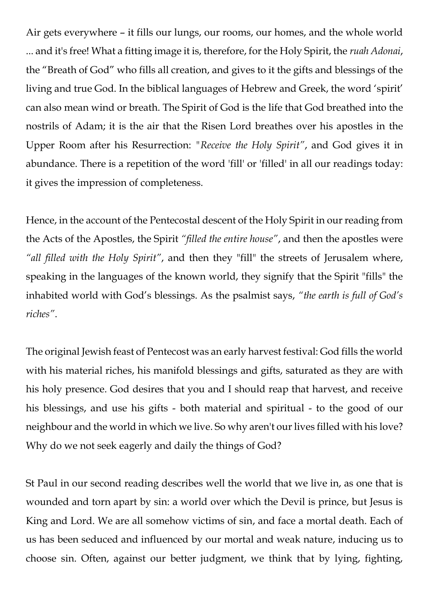Air gets everywhere – it fills our lungs, our rooms, our homes, and the whole world ... and it's free! What a fitting image it is, therefore, for the Holy Spirit, the *ruah Adonai*, the "Breath of God" who fills all creation, and gives to it the gifts and blessings of the living and true God. In the biblical languages of Hebrew and Greek, the word 'spirit' can also mean wind or breath. The Spirit of God is the life that God breathed into the nostrils of Adam; it is the air that the Risen Lord breathes over his apostles in the Upper Room after his Resurrection: *"Receive the Holy Spirit"*, and God gives it in abundance. There is a repetition of the word 'fill' or 'filled' in all our readings today: it gives the impression of completeness.

Hence, in the account of the Pentecostal descent of the Holy Spirit in our reading from the Acts of the Apostles, the Spirit *"filled the entire house"*, and then the apostles were *"all filled with the Holy Spirit"*, and then they "fill" the streets of Jerusalem where, speaking in the languages of the known world, they signify that the Spirit "fills" the inhabited world with God's blessings. As the psalmist says, *"the earth is full of God's riches"*.

The original Jewish feast of Pentecost was an early harvest festival: God fills the world with his material riches, his manifold blessings and gifts, saturated as they are with his holy presence. God desires that you and I should reap that harvest, and receive his blessings, and use his gifts - both material and spiritual - to the good of our neighbour and the world in which we live. So why aren't our lives filled with his love? Why do we not seek eagerly and daily the things of God?

St Paul in our second reading describes well the world that we live in, as one that is wounded and torn apart by sin: a world over which the Devil is prince, but Jesus is King and Lord. We are all somehow victims of sin, and face a mortal death. Each of us has been seduced and influenced by our mortal and weak nature, inducing us to choose sin. Often, against our better judgment, we think that by lying, fighting,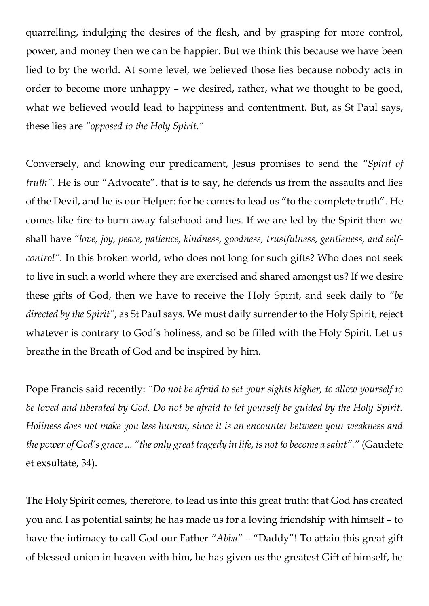quarrelling, indulging the desires of the flesh, and by grasping for more control, power, and money then we can be happier. But we think this because we have been lied to by the world. At some level, we believed those lies because nobody acts in order to become more unhappy – we desired, rather, what we thought to be good, what we believed would lead to happiness and contentment. But, as St Paul says, these lies are *"opposed to the Holy Spirit."*

Conversely, and knowing our predicament, Jesus promises to send the *"Spirit of truth"*. He is our "Advocate", that is to say, he defends us from the assaults and lies of the Devil, and he is our Helper: for he comes to lead us "to the complete truth". He comes like fire to burn away falsehood and lies. If we are led by the Spirit then we shall have *"love, joy, peace, patience, kindness, goodness, trustfulness, gentleness, and selfcontrol".* In this broken world, who does not long for such gifts? Who does not seek to live in such a world where they are exercised and shared amongst us? If we desire these gifts of God, then we have to receive the Holy Spirit, and seek daily to *"be directed by the Spirit",* as St Paul says. We must daily surrender to the Holy Spirit, reject whatever is contrary to God's holiness, and so be filled with the Holy Spirit. Let us breathe in the Breath of God and be inspired by him.

Pope Francis said recently: *"Do not be afraid to set your sights higher, to allow yourself to be loved and liberated by God. Do not be afraid to let yourself be guided by the Holy Spirit. Holiness does not make you less human, since it is an encounter between your weakness and the power of God's grace ... "the only great tragedy in life, is not to become a saint"."* (Gaudete et exsultate, 34).

The Holy Spirit comes, therefore, to lead us into this great truth: that God has created you and I as potential saints; he has made us for a loving friendship with himself – to have the intimacy to call God our Father *"Abba"* – "Daddy"! To attain this great gift of blessed union in heaven with him, he has given us the greatest Gift of himself, he